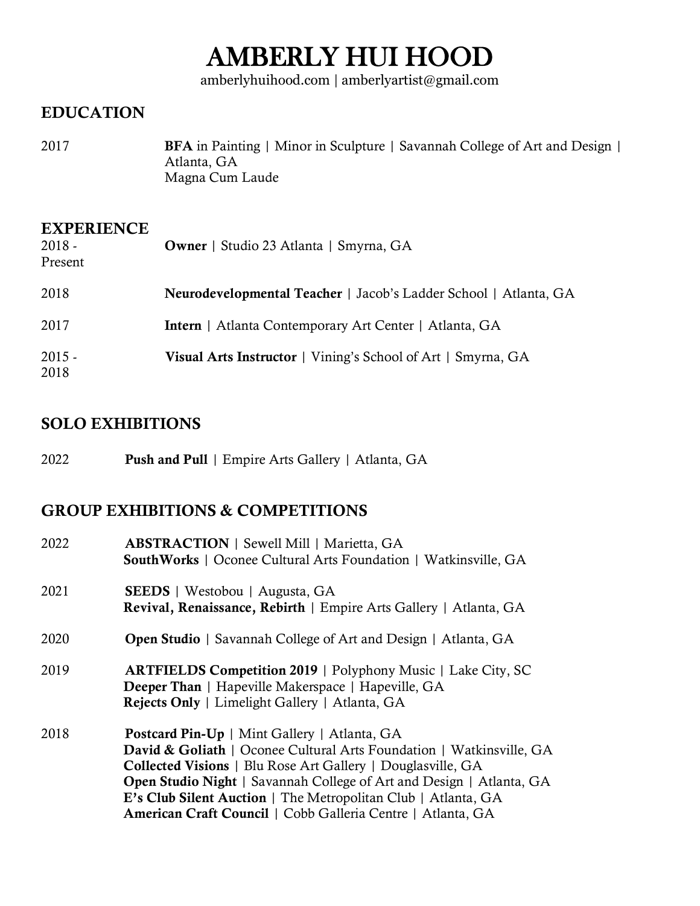# AMBERLY HUI HOOD

amberlyhuihood.com | amberlyartist@gmail.com

### EDUCATION

2017 BFA in Painting | Minor in Sculpture | Savannah College of Art and Design | Atlanta, GA Magna Cum Laude

| <b>EXPERIENCE</b><br>$2018 -$<br>Present | <b>Owner</b>   Studio 23 Atlanta   Smyrna, GA                       |
|------------------------------------------|---------------------------------------------------------------------|
| 2018                                     | Neurodevelopmental Teacher   Jacob's Ladder School   Atlanta, GA    |
| 2017                                     | Intern   Atlanta Contemporary Art Center   Atlanta, GA              |
| $2015 -$<br>2018                         | <b>Visual Arts Instructor</b>   Vining's School of Art   Smyrna, GA |

### SOLO EXHIBITIONS

2022 **Push and Pull** | Empire Arts Gallery | Atlanta, GA

### GROUP EXHIBITIONS & COMPETITIONS

| 2022 | <b>ABSTRACTION</b>   Sewell Mill   Marietta, GA<br><b>SouthWorks</b>   Oconee Cultural Arts Foundation   Watkinsville, GA                                                                                                                                                                                                                                                                                        |
|------|------------------------------------------------------------------------------------------------------------------------------------------------------------------------------------------------------------------------------------------------------------------------------------------------------------------------------------------------------------------------------------------------------------------|
| 2021 | <b>SEEDS</b>   Westobou   Augusta, GA<br>Revival, Renaissance, Rebirth   Empire Arts Gallery   Atlanta, GA                                                                                                                                                                                                                                                                                                       |
| 2020 | <b>Open Studio</b>   Savannah College of Art and Design   Atlanta, GA                                                                                                                                                                                                                                                                                                                                            |
| 2019 | <b>ARTFIELDS Competition 2019</b>   Polyphony Music   Lake City, SC<br><b>Deeper Than</b>   Hapeville Makerspace   Hapeville, GA<br>Rejects Only   Limelight Gallery   Atlanta, GA                                                                                                                                                                                                                               |
| 2018 | <b>Postcard Pin-Up</b>   Mint Gallery   Atlanta, GA<br>David & Goliath   Oconee Cultural Arts Foundation   Watkinsville, GA<br><b>Collected Visions</b>   Blu Rose Art Gallery   Douglasville, GA<br><b>Open Studio Night</b>   Savannah College of Art and Design   Atlanta, GA<br>E's Club Silent Auction   The Metropolitan Club   Atlanta, GA<br>American Craft Council   Cobb Galleria Centre   Atlanta, GA |